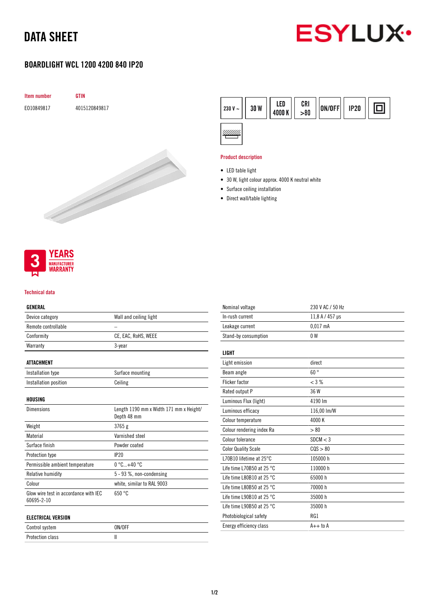# DATA SHEET



# BOARDLIGHT WCL 1200 4200 840 IP20





#### Product description

- LED table light
- 30 W, light colour approx. 4000 K neutral white
- Surface ceiling installation
- Direct wall/table lighting



#### Technical data

## GENERAL

| Device category                                     | Wall and ceiling light                                 |
|-----------------------------------------------------|--------------------------------------------------------|
| Remote controllable                                 |                                                        |
| Conformity                                          | CE, EAC, RoHS, WEEE                                    |
| Warranty                                            | 3-year                                                 |
| ATTACHMENT                                          |                                                        |
| Installation type                                   | Surface mounting                                       |
| Installation position                               | Ceiling                                                |
| HOUSING                                             |                                                        |
| <b>Dimensions</b>                                   | Length 1190 mm x Width 171 mm x Height/<br>Depth 48 mm |
| Weight                                              | 3765g                                                  |
| Material                                            | Varnished steel                                        |
| Surface finish                                      | Powder coated                                          |
| Protection type                                     | IP <sub>20</sub>                                       |
| Permissible ambient temperature                     | $0^{\circ}$ C+40 $^{\circ}$ C                          |
| Relative humidity                                   | 5 - 93 %, non-condensing                               |
| Colour                                              | white, similar to RAL 9003                             |
| Glow wire test in accordance with IEC<br>60695-2-10 | 650 °C                                                 |
| ELECTRICAL VERSION                                  |                                                        |

| Control system   | ON/OFF |
|------------------|--------|
| Protection class |        |

| Nominal voltage                     | 230 V AC / 50 Hz |
|-------------------------------------|------------------|
| In-rush current                     | 11,8 A / 457 µs  |
| Leakage current                     | $0.017$ mA       |
| Stand-by consumption                | 0 <sub>W</sub>   |
|                                     |                  |
| <b>LIGHT</b>                        |                  |
| Light emission                      | direct           |
| Beam angle                          | $60^{\circ}$     |
| <b>Flicker factor</b>               | $<$ 3 %          |
| Rated output P                      | 36 W             |
| Luminous Flux (light)               | 4190 lm          |
| Luminous efficacy                   | 116,00 lm/W      |
| Colour temperature                  | 4000 K           |
| Colour rendering index Ra           | > 80             |
| Colour tolerance                    | SDCM < 3         |
| <b>Color Quality Scale</b>          | COS > 80         |
| L70B10 lifetime at $25^{\circ}$ C   | 105000 h         |
| Life time L70B50 at 25 $^{\circ}$ C | 110000 h         |
| Life time L80B10 at 25 $^{\circ}$ C | 65000h           |
| Life time L80B50 at 25 $^{\circ}$ C | 70000 h          |
| Life time L90B10 at 25 $^{\circ}$ C | 35000h           |
| Life time L90B50 at 25 $^{\circ}$ C | 35000 h          |
| Photobiological safety              | RG1              |
| Energy efficiency class             | $A++$ to $A$     |
|                                     |                  |